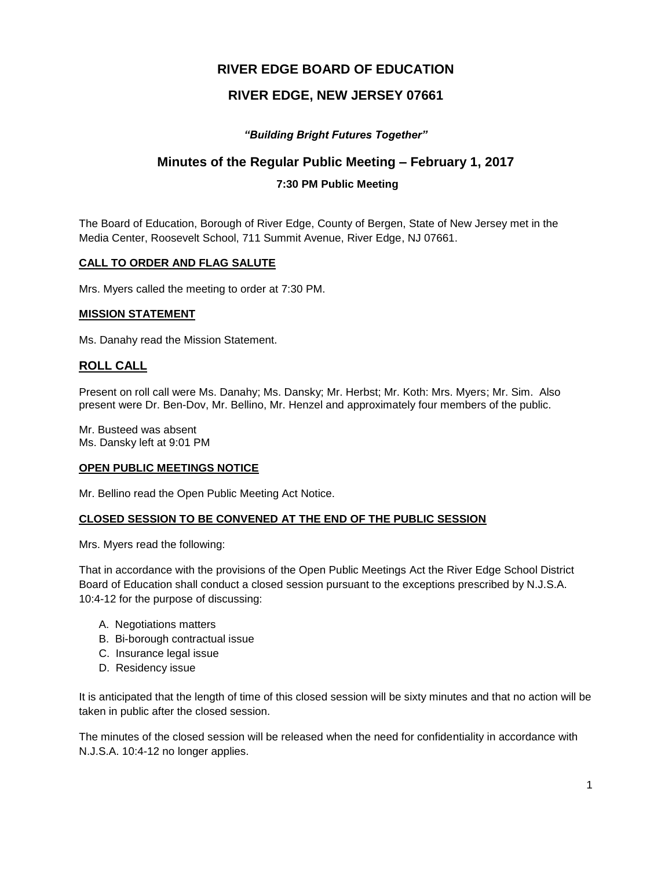# **RIVER EDGE BOARD OF EDUCATION**

# **RIVER EDGE, NEW JERSEY 07661**

## *"Building Bright Futures Together"*

## **Minutes of the Regular Public Meeting – February 1, 2017**

## **7:30 PM Public Meeting**

The Board of Education, Borough of River Edge, County of Bergen, State of New Jersey met in the Media Center, Roosevelt School, 711 Summit Avenue, River Edge, NJ 07661.

#### **CALL TO ORDER AND FLAG SALUTE**

Mrs. Myers called the meeting to order at 7:30 PM.

#### **MISSION STATEMENT**

Ms. Danahy read the Mission Statement.

## **ROLL CALL**

Present on roll call were Ms. Danahy; Ms. Dansky; Mr. Herbst; Mr. Koth: Mrs. Myers; Mr. Sim. Also present were Dr. Ben-Dov, Mr. Bellino, Mr. Henzel and approximately four members of the public.

Mr. Busteed was absent Ms. Dansky left at 9:01 PM

#### **OPEN PUBLIC MEETINGS NOTICE**

Mr. Bellino read the Open Public Meeting Act Notice.

## **CLOSED SESSION TO BE CONVENED AT THE END OF THE PUBLIC SESSION**

Mrs. Myers read the following:

That in accordance with the provisions of the Open Public Meetings Act the River Edge School District Board of Education shall conduct a closed session pursuant to the exceptions prescribed by N.J.S.A. 10:4-12 for the purpose of discussing:

- A. Negotiations matters
- B. Bi-borough contractual issue
- C. Insurance legal issue
- D. Residency issue

It is anticipated that the length of time of this closed session will be sixty minutes and that no action will be taken in public after the closed session.

The minutes of the closed session will be released when the need for confidentiality in accordance with N.J.S.A. 10:4-12 no longer applies.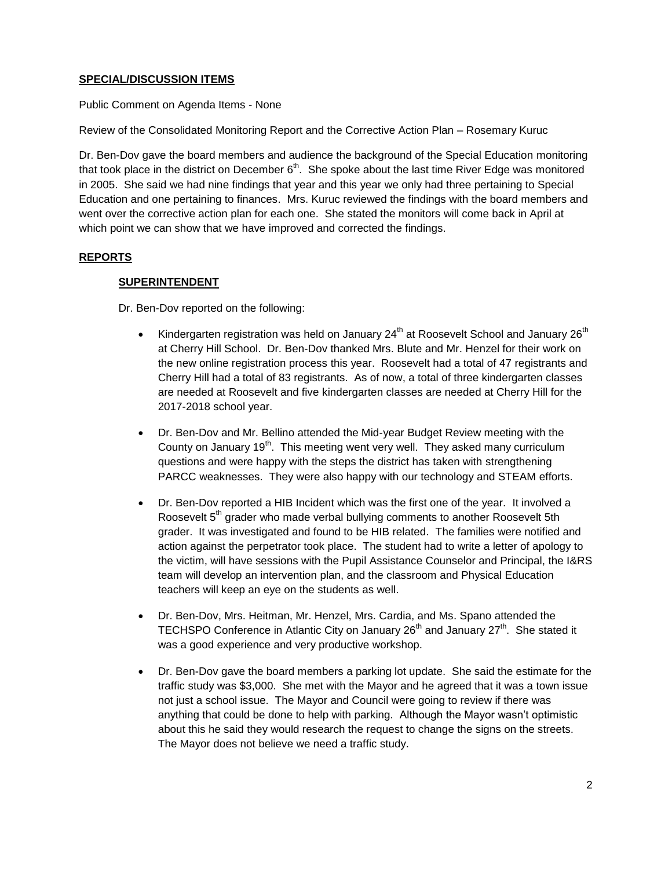## **SPECIAL/DISCUSSION ITEMS**

Public Comment on Agenda Items - None

Review of the Consolidated Monitoring Report and the Corrective Action Plan – Rosemary Kuruc

Dr. Ben-Dov gave the board members and audience the background of the Special Education monitoring that took place in the district on December 6<sup>th</sup>. She spoke about the last time River Edge was monitored in 2005. She said we had nine findings that year and this year we only had three pertaining to Special Education and one pertaining to finances. Mrs. Kuruc reviewed the findings with the board members and went over the corrective action plan for each one. She stated the monitors will come back in April at which point we can show that we have improved and corrected the findings.

## **REPORTS**

#### **SUPERINTENDENT**

Dr. Ben-Dov reported on the following:

- Kindergarten registration was held on January  $24^{th}$  at Roosevelt School and January  $26^{th}$ at Cherry Hill School. Dr. Ben-Dov thanked Mrs. Blute and Mr. Henzel for their work on the new online registration process this year. Roosevelt had a total of 47 registrants and Cherry Hill had a total of 83 registrants. As of now, a total of three kindergarten classes are needed at Roosevelt and five kindergarten classes are needed at Cherry Hill for the 2017-2018 school year.
- Dr. Ben-Dov and Mr. Bellino attended the Mid-year Budget Review meeting with the County on January 19<sup>th</sup>. This meeting went very well. They asked many curriculum questions and were happy with the steps the district has taken with strengthening PARCC weaknesses. They were also happy with our technology and STEAM efforts.
- Dr. Ben-Dov reported a HIB Incident which was the first one of the year. It involved a Roosevelt 5<sup>th</sup> grader who made verbal bullying comments to another Roosevelt 5th grader. It was investigated and found to be HIB related. The families were notified and action against the perpetrator took place. The student had to write a letter of apology to the victim, will have sessions with the Pupil Assistance Counselor and Principal, the I&RS team will develop an intervention plan, and the classroom and Physical Education teachers will keep an eye on the students as well.
- Dr. Ben-Dov, Mrs. Heitman, Mr. Henzel, Mrs. Cardia, and Ms. Spano attended the TECHSPO Conference in Atlantic City on January 26<sup>th</sup> and January 27<sup>th</sup>. She stated it was a good experience and very productive workshop.
- Dr. Ben-Dov gave the board members a parking lot update. She said the estimate for the traffic study was \$3,000. She met with the Mayor and he agreed that it was a town issue not just a school issue. The Mayor and Council were going to review if there was anything that could be done to help with parking. Although the Mayor wasn't optimistic about this he said they would research the request to change the signs on the streets. The Mayor does not believe we need a traffic study.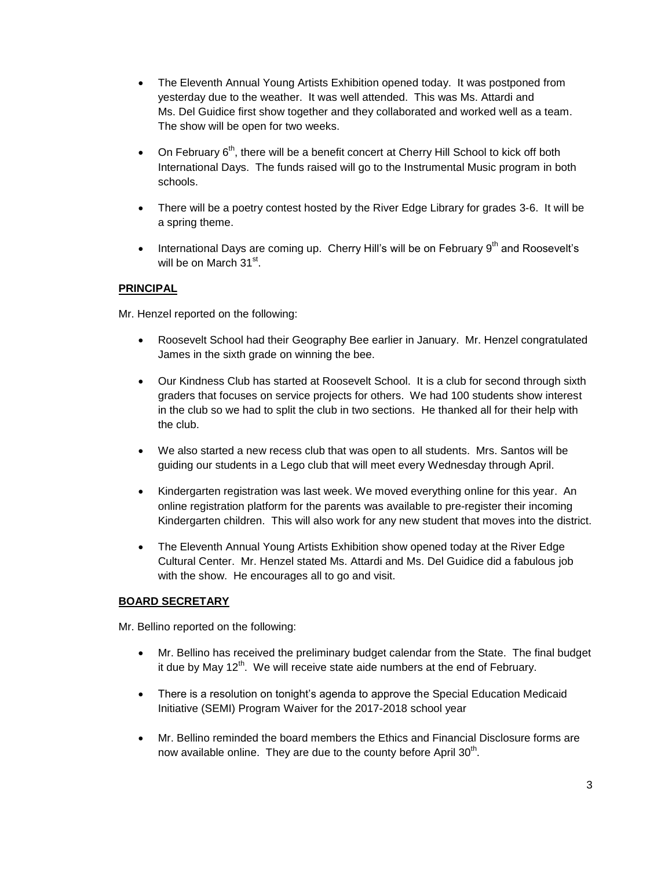- The Eleventh Annual Young Artists Exhibition opened today. It was postponed from yesterday due to the weather. It was well attended. This was Ms. Attardi and Ms. Del Guidice first show together and they collaborated and worked well as a team. The show will be open for two weeks.
- On February 6<sup>th</sup>, there will be a benefit concert at Cherry Hill School to kick off both International Days. The funds raised will go to the Instrumental Music program in both schools.
- There will be a poetry contest hosted by the River Edge Library for grades 3-6. It will be a spring theme.
- International Days are coming up. Cherry Hill's will be on February  $9<sup>th</sup>$  and Roosevelt's will be on March 31<sup>st</sup>.

## **PRINCIPAL**

Mr. Henzel reported on the following:

- Roosevelt School had their Geography Bee earlier in January. Mr. Henzel congratulated James in the sixth grade on winning the bee.
- Our Kindness Club has started at Roosevelt School. It is a club for second through sixth graders that focuses on service projects for others. We had 100 students show interest in the club so we had to split the club in two sections. He thanked all for their help with the club.
- We also started a new recess club that was open to all students. Mrs. Santos will be guiding our students in a Lego club that will meet every Wednesday through April.
- Kindergarten registration was last week. We moved everything online for this year. An online registration platform for the parents was available to pre-register their incoming Kindergarten children. This will also work for any new student that moves into the district.
- The Eleventh Annual Young Artists Exhibition show opened today at the River Edge Cultural Center. Mr. Henzel stated Ms. Attardi and Ms. Del Guidice did a fabulous job with the show. He encourages all to go and visit.

## **BOARD SECRETARY**

Mr. Bellino reported on the following:

- Mr. Bellino has received the preliminary budget calendar from the State. The final budget it due by May  $12<sup>th</sup>$ . We will receive state aide numbers at the end of February.
- There is a resolution on tonight's agenda to approve the Special Education Medicaid Initiative (SEMI) Program Waiver for the 2017-2018 school year
- Mr. Bellino reminded the board members the Ethics and Financial Disclosure forms are now available online. They are due to the county before April  $30<sup>th</sup>$ .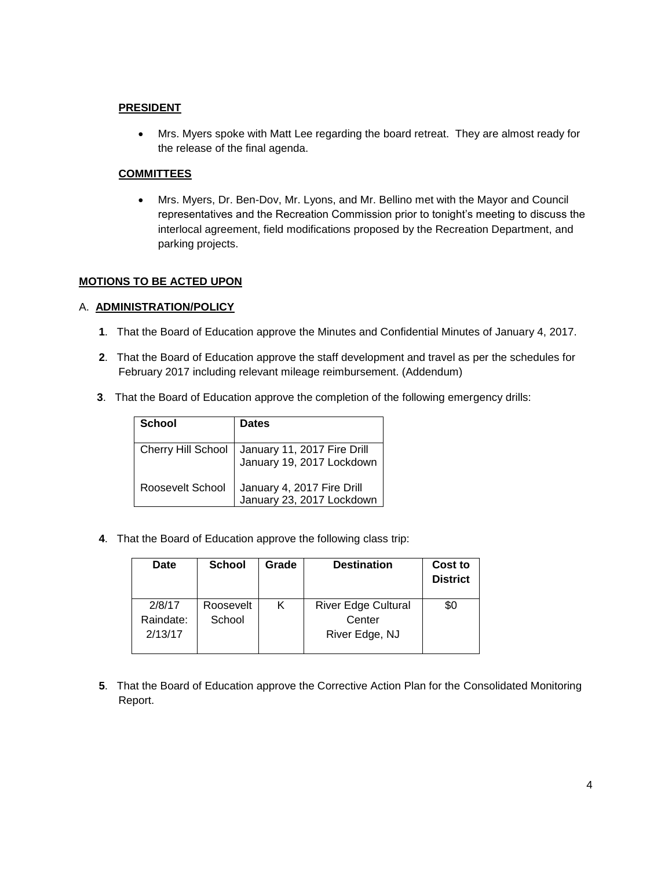#### **PRESIDENT**

 Mrs. Myers spoke with Matt Lee regarding the board retreat. They are almost ready for the release of the final agenda.

#### **COMMITTEES**

 Mrs. Myers, Dr. Ben-Dov, Mr. Lyons, and Mr. Bellino met with the Mayor and Council representatives and the Recreation Commission prior to tonight's meeting to discuss the interlocal agreement, field modifications proposed by the Recreation Department, and parking projects.

#### **MOTIONS TO BE ACTED UPON**

#### A. **ADMINISTRATION/POLICY**

- **1**. That the Board of Education approve the Minutes and Confidential Minutes of January 4, 2017.
- **2**. That the Board of Education approve the staff development and travel as per the schedules for February 2017 including relevant mileage reimbursement. (Addendum)
- **3**. That the Board of Education approve the completion of the following emergency drills:

| School             | <b>Dates</b>                                             |
|--------------------|----------------------------------------------------------|
| Cherry Hill School | January 11, 2017 Fire Drill<br>January 19, 2017 Lockdown |
| Roosevelt School   | January 4, 2017 Fire Drill<br>January 23, 2017 Lockdown  |

**4**. That the Board of Education approve the following class trip:

| Date      | <b>School</b> | Grade | <b>Destination</b>         | Cost to<br><b>District</b> |
|-----------|---------------|-------|----------------------------|----------------------------|
| 2/8/17    | Roosevelt     | Κ     | <b>River Edge Cultural</b> | \$0                        |
| Raindate: | School        |       | Center                     |                            |
| 2/13/17   |               |       | River Edge, NJ             |                            |
|           |               |       |                            |                            |

**5**. That the Board of Education approve the Corrective Action Plan for the Consolidated Monitoring Report.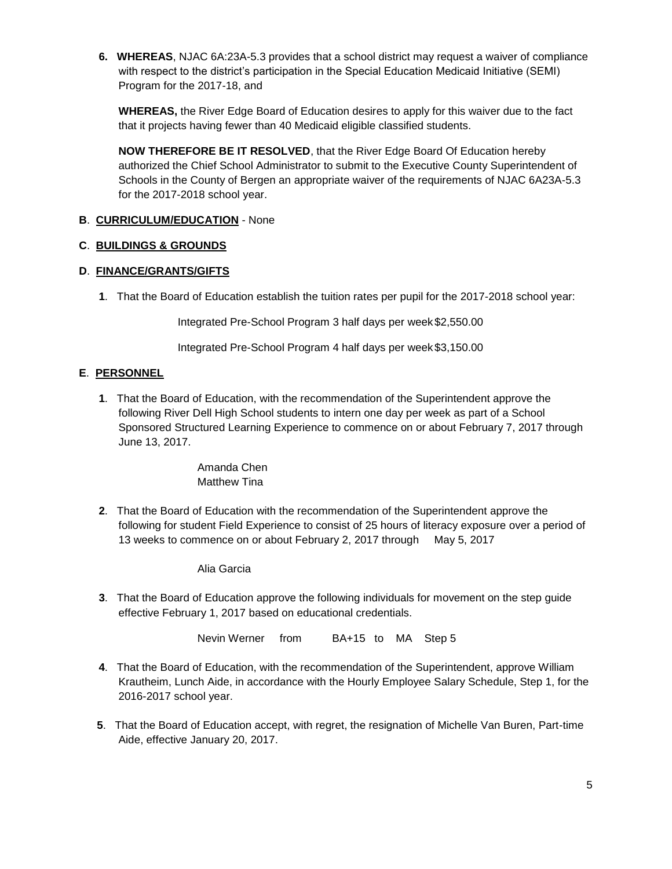**6. WHEREAS**, NJAC 6A:23A-5.3 provides that a school district may request a waiver of compliance with respect to the district's participation in the Special Education Medicaid Initiative (SEMI) Program for the 2017-18, and

**WHEREAS,** the River Edge Board of Education desires to apply for this waiver due to the fact that it projects having fewer than 40 Medicaid eligible classified students.

**NOW THEREFORE BE IT RESOLVED**, that the River Edge Board Of Education hereby authorized the Chief School Administrator to submit to the Executive County Superintendent of Schools in the County of Bergen an appropriate waiver of the requirements of NJAC 6A23A-5.3 for the 2017-2018 school year.

## **B**. **CURRICULUM/EDUCATION** - None

## **C**. **BUILDINGS & GROUNDS**

## **D**. **FINANCE/GRANTS/GIFTS**

**1**. That the Board of Education establish the tuition rates per pupil for the 2017-2018 school year:

Integrated Pre-School Program 3 half days per week \$2,550.00

Integrated Pre-School Program 4 half days per week \$3,150.00

## **E**. **PERSONNEL**

**1**. That the Board of Education, with the recommendation of the Superintendent approve the following River Dell High School students to intern one day per week as part of a School Sponsored Structured Learning Experience to commence on or about February 7, 2017 through June 13, 2017.

> Amanda Chen Matthew Tina

**2**. That the Board of Education with the recommendation of the Superintendent approve the following for student Field Experience to consist of 25 hours of literacy exposure over a period of 13 weeks to commence on or about February 2, 2017 through May 5, 2017

Alia Garcia

**3**. That the Board of Education approve the following individuals for movement on the step guide effective February 1, 2017 based on educational credentials.

Nevin Werner from BA+15 to MA Step 5

- **4**. That the Board of Education, with the recommendation of the Superintendent, approve William Krautheim, Lunch Aide, in accordance with the Hourly Employee Salary Schedule, Step 1, for the 2016-2017 school year.
- **5**. That the Board of Education accept, with regret, the resignation of Michelle Van Buren, Part-time Aide, effective January 20, 2017.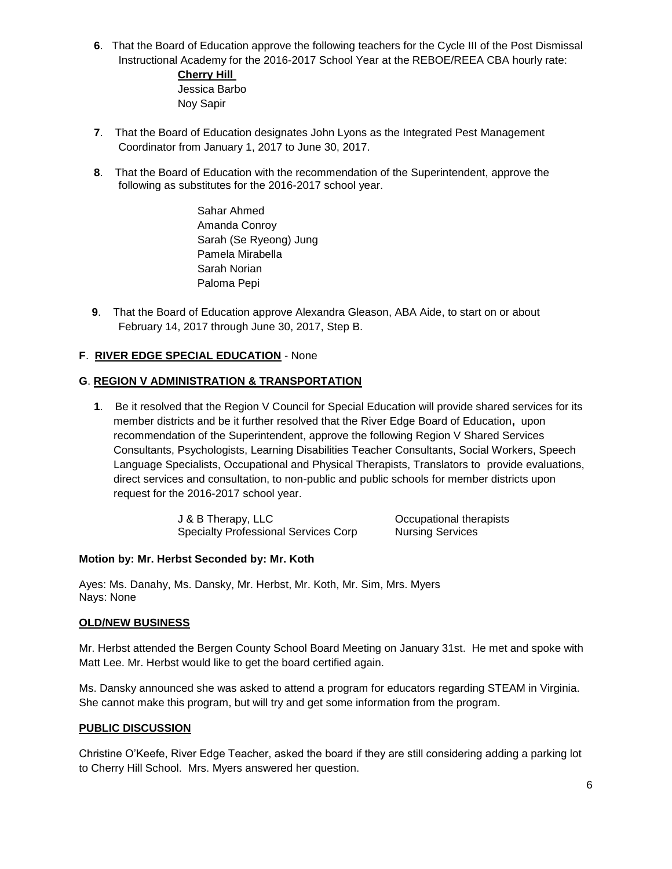**6**. That the Board of Education approve the following teachers for the Cycle III of the Post Dismissal Instructional Academy for the 2016-2017 School Year at the REBOE/REEA CBA hourly rate: **Cherry Hill** 

Jessica Barbo Noy Sapir

- **7**. That the Board of Education designates John Lyons as the Integrated Pest Management Coordinator from January 1, 2017 to June 30, 2017.
- **8**. That the Board of Education with the recommendation of the Superintendent, approve the following as substitutes for the 2016-2017 school year.

Sahar Ahmed Amanda Conroy Sarah (Se Ryeong) Jung Pamela Mirabella Sarah Norian Paloma Pepi

**9**. That the Board of Education approve Alexandra Gleason, ABA Aide, to start on or about February 14, 2017 through June 30, 2017, Step B.

## **F**. **RIVER EDGE SPECIAL EDUCATION** - None

#### **G**. **REGION V ADMINISTRATION & TRANSPORTATION**

**1**. Be it resolved that the Region V Council for Special Education will provide shared services for its member districts and be it further resolved that the River Edge Board of Education**,** upon recommendation of the Superintendent, approve the following Region V Shared Services Consultants, Psychologists, Learning Disabilities Teacher Consultants, Social Workers, Speech Language Specialists, Occupational and Physical Therapists, Translators to provide evaluations, direct services and consultation, to non-public and public schools for member districts upon request for the 2016-2017 school year.

> J & B Therapy, LLC COME COCUPATIONAL THEORY COCUPATIONAL THEORY OCCUPATIONAL THEORY OF THEORY OCCUPATIONAL THEORY OF THEORY OF THEORY OF THEORY OF THEORY OF THEORY OF THEORY OF THEORY OF THEORY OF THEORY OF THEORY OF THEOR Specialty Professional Services Corp Nursing Services

#### **Motion by: Mr. Herbst Seconded by: Mr. Koth**

Ayes: Ms. Danahy, Ms. Dansky, Mr. Herbst, Mr. Koth, Mr. Sim, Mrs. Myers Nays: None

#### **OLD/NEW BUSINESS**

Mr. Herbst attended the Bergen County School Board Meeting on January 31st. He met and spoke with Matt Lee. Mr. Herbst would like to get the board certified again.

Ms. Dansky announced she was asked to attend a program for educators regarding STEAM in Virginia. She cannot make this program, but will try and get some information from the program.

#### **PUBLIC DISCUSSION**

Christine O'Keefe, River Edge Teacher, asked the board if they are still considering adding a parking lot to Cherry Hill School. Mrs. Myers answered her question.